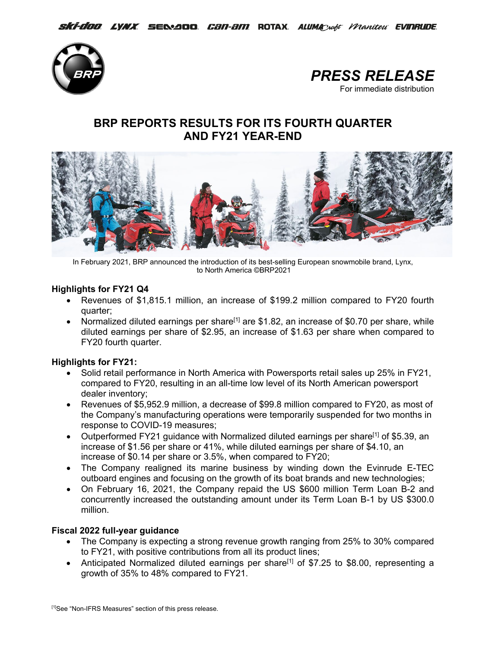



# **BRP REPORTS RESULTS FOR ITS FOURTH QUARTER AND FY21 YEAR-END**



In February 2021, BRP announced the introduction of its best-selling European snowmobile brand, Lynx, to North America ©BRP2021

# **Highlights for FY21 Q4**

- Revenues of \$1,815.1 million, an increase of \$199.2 million compared to FY20 fourth quarter;
- Normalized diluted earnings per share<sup>[1]</sup> are \$1.82, an increase of \$0.70 per share, while diluted earnings per share of \$2.95, an increase of \$1.63 per share when compared to FY20 fourth quarter.

# **Highlights for FY21:**

- Solid retail performance in North America with Powersports retail sales up 25% in FY21, compared to FY20, resulting in an all-time low level of its North American powersport dealer inventory;
- Revenues of \$5,952.9 million, a decrease of \$99.8 million compared to FY20, as most of the Company's manufacturing operations were temporarily suspended for two months in response to COVID-19 measures;
- Outperformed FY21 guidance with Normalized diluted earnings per share[1] of \$5.39, an increase of \$1.56 per share or 41%, while diluted earnings per share of \$4.10, an increase of \$0.14 per share or 3.5%, when compared to FY20;
- The Company realigned its marine business by winding down the Evinrude E-TEC outboard engines and focusing on the growth of its boat brands and new technologies;
- On February 16, 2021, the Company repaid the US \$600 million Term Loan B-2 and concurrently increased the outstanding amount under its Term Loan B-1 by US \$300.0 million.

# **Fiscal 2022 full-year guidance**

- The Company is expecting a strong revenue growth ranging from 25% to 30% compared to FY21, with positive contributions from all its product lines;
- Anticipated Normalized diluted earnings per share<sup>[1]</sup> of \$7.25 to \$8.00, representing a growth of 35% to 48% compared to FY21.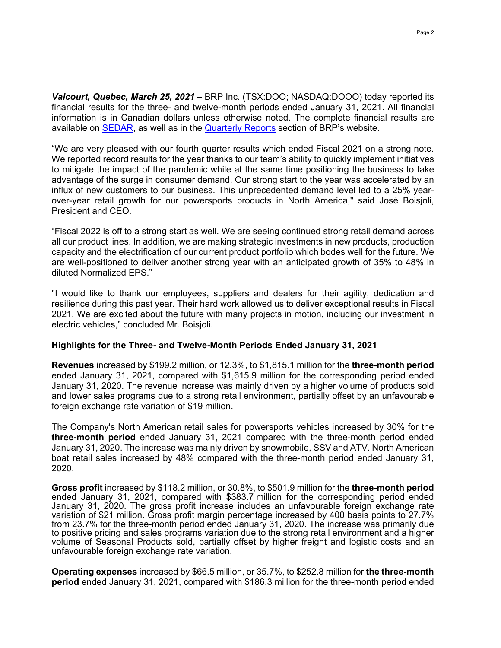*Valcourt, Quebec, March 25, 2021 –* BRP Inc. (TSX:DOO; NASDAQ:DOOO) today reported its financial results for the three- and twelve-month periods ended January 31, 2021. All financial information is in Canadian dollars unless otherwise noted. The complete financial results are available on [SEDAR,](http://www.sedar.com/) as well as in the [Quarterly](http://news.brp.com/financial-information/quarterly-reports) Reports section of BRP's website.

"We are very pleased with our fourth quarter results which ended Fiscal 2021 on a strong note. We reported record results for the year thanks to our team's ability to quickly implement initiatives to mitigate the impact of the pandemic while at the same time positioning the business to take advantage of the surge in consumer demand. Our strong start to the year was accelerated by an influx of new customers to our business. This unprecedented demand level led to a 25% yearover-year retail growth for our powersports products in North America," said José Boisjoli, President and CEO.

"Fiscal 2022 is off to a strong start as well. We are seeing continued strong retail demand across all our product lines. In addition, we are making strategic investments in new products, production capacity and the electrification of our current product portfolio which bodes well for the future. We are well-positioned to deliver another strong year with an anticipated growth of 35% to 48% in diluted Normalized EPS."

"I would like to thank our employees, suppliers and dealers for their agility, dedication and resilience during this past year. Their hard work allowed us to deliver exceptional results in Fiscal 2021. We are excited about the future with many projects in motion, including our investment in electric vehicles," concluded Mr. Boisjoli.

## **Highlights for the Three- and Twelve-Month Periods Ended January 31, 2021**

**Revenues** increased by \$199.2 million, or 12.3%, to \$1,815.1 million for the **three-month period** ended January 31, 2021, compared with \$1,615.9 million for the corresponding period ended January 31, 2020. The revenue increase was mainly driven by a higher volume of products sold and lower sales programs due to a strong retail environment, partially offset by an unfavourable foreign exchange rate variation of \$19 million.

The Company's North American retail sales for powersports vehicles increased by 30% for the **three-month period** ended January 31, 2021 compared with the three-month period ended January 31, 2020. The increase was mainly driven by snowmobile, SSV and ATV. North American boat retail sales increased by 48% compared with the three-month period ended January 31, 2020.

**Gross profit** increased by \$118.2 million, or 30.8%, to \$501.9 million for the **three-month period** ended January 31, 2021, compared with \$383.7 million for the corresponding period ended January 31, 2020. The gross profit increase includes an unfavourable foreign exchange rate variation of \$21 million. Gross profit margin percentage increased by 400 basis points to 27.7% from 23.7% for the three-month period ended January 31, 2020. The increase was primarily due to positive pricing and sales programs variation due to the strong retail environment and a higher volume of Seasonal Products sold, partially offset by higher freight and logistic costs and an unfavourable foreign exchange rate variation.

**Operating expenses** increased by \$66.5 million, or 35.7%, to \$252.8 million for **the three-month period** ended January 31, 2021, compared with \$186.3 million for the three-month period ended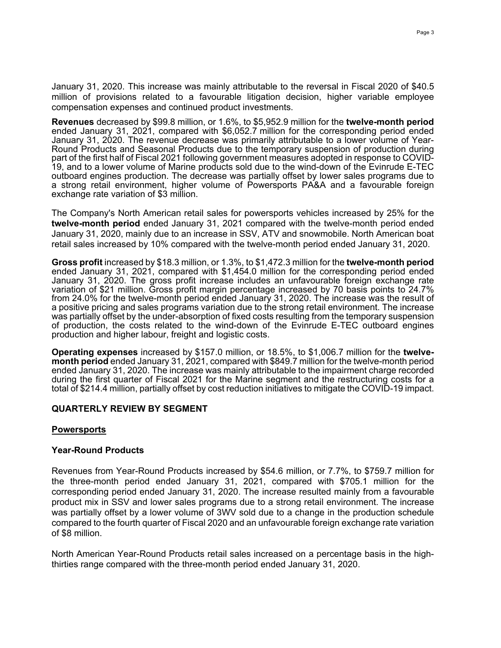January 31, 2020. This increase was mainly attributable to the reversal in Fiscal 2020 of \$40.5 million of provisions related to a favourable litigation decision, higher variable employee compensation expenses and continued product investments.

**Revenues** decreased by \$99.8 million, or 1.6%, to \$5,952.9 million for the **twelve-month period** ended January 31, 2021, compared with \$6,052.7 million for the corresponding period ended January 31, 2020. The revenue decrease was primarily attributable to a lower volume of Year-Round Products and Seasonal Products due to the temporary suspension of production during<br>part of the first half of Fiscal 2021 following government measures adopted in response to COVID-19, and to a lower volume of Marine products sold due to the wind-down of the Evinrude E-TEC outboard engines production. The decrease was partially offset by lower sales programs due to a strong retail environment, higher volume of Powersports PA&A and a favourable foreign exchange rate variation of \$3 million.

The Company's North American retail sales for powersports vehicles increased by 25% for the **twelve-month period** ended January 31, 2021 compared with the twelve-month period ended January 31, 2020, mainly due to an increase in SSV, ATV and snowmobile. North American boat retail sales increased by 10% compared with the twelve-month period ended January 31, 2020.

**Gross profit** increased by \$18.3 million, or 1.3%, to \$1,472.3 million for the **twelve-month period** ended January 31, 2021, compared with \$1,454.0 million for the corresponding period ended January 31, 2020. The gross profit increase includes an unfavourable foreign exchange rate variation of \$21 million. Gross profit margin percentage increased by 70 basis points to 24.7% from 24.0% for the twelve-month period ended January 31, 2020. The increase was the result of a positive pricing and sales programs variation due to the strong retail environment. The increase was partially offset by the under-absorption of fixed costs resulting from the temporary suspension of production, the costs related to the wind-down of the Evinrude E-TEC outboard engines production and higher labour, freight and logistic costs.

**Operating expenses** increased by \$157.0 million, or 18.5%, to \$1,006.7 million for the **twelvemonth period** ended January 31, 2021, compared with \$849.7 million for the twelve-month period ended January 31, 2020. The increase was mainly attributable to the impairment charge recorded during the first quarter of Fiscal 2021 for the Marine segment and the restructuring costs for a total of \$214.4 million, partially offset by cost reduction initiatives to mitigate the COVID-19 impact.

## **QUARTERLY REVIEW BY SEGMENT**

## **Powersports**

## **Year-Round Products**

Revenues from Year-Round Products increased by \$54.6 million, or 7.7%, to \$759.7 million for the three-month period ended January 31, 2021, compared with \$705.1 million for the corresponding period ended January 31, 2020. The increase resulted mainly from a favourable product mix in SSV and lower sales programs due to a strong retail environment. The increase was partially offset by a lower volume of 3WV sold due to a change in the production schedule compared to the fourth quarter of Fiscal 2020 and an unfavourable foreign exchange rate variation of \$8 million.

North American Year-Round Products retail sales increased on a percentage basis in the highthirties range compared with the three-month period ended January 31, 2020.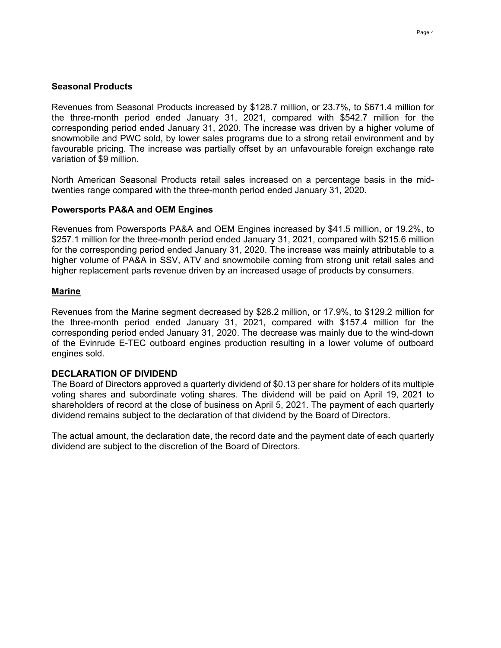## **Seasonal Products**

Revenues from Seasonal Products increased by \$128.7 million, or 23.7%, to \$671.4 million for the three-month period ended January 31, 2021, compared with \$542.7 million for the corresponding period ended January 31, 2020. The increase was driven by a higher volume of snowmobile and PWC sold, by lower sales programs due to a strong retail environment and by favourable pricing. The increase was partially offset by an unfavourable foreign exchange rate variation of \$9 million.

North American Seasonal Products retail sales increased on a percentage basis in the midtwenties range compared with the three-month period ended January 31, 2020.

## **Powersports PA&A and OEM Engines**

Revenues from Powersports PA&A and OEM Engines increased by \$41.5 million, or 19.2%, to \$257.1 million for the three-month period ended January 31, 2021, compared with \$215.6 million for the corresponding period ended January 31, 2020. The increase was mainly attributable to a higher volume of PA&A in SSV, ATV and snowmobile coming from strong unit retail sales and higher replacement parts revenue driven by an increased usage of products by consumers.

## **Marine**

Revenues from the Marine segment decreased by \$28.2 million, or 17.9%, to \$129.2 million for the three-month period ended January 31, 2021, compared with \$157.4 million for the corresponding period ended January 31, 2020. The decrease was mainly due to the wind-down of the Evinrude E-TEC outboard engines production resulting in a lower volume of outboard engines sold.

## **DECLARATION OF DIVIDEND**

The Board of Directors approved a quarterly dividend of \$0.13 per share for holders of its multiple voting shares and subordinate voting shares. The dividend will be paid on April 19, 2021 to shareholders of record at the close of business on April 5, 2021. The payment of each quarterly dividend remains subject to the declaration of that dividend by the Board of Directors.

The actual amount, the declaration date, the record date and the payment date of each quarterly dividend are subject to the discretion of the Board of Directors.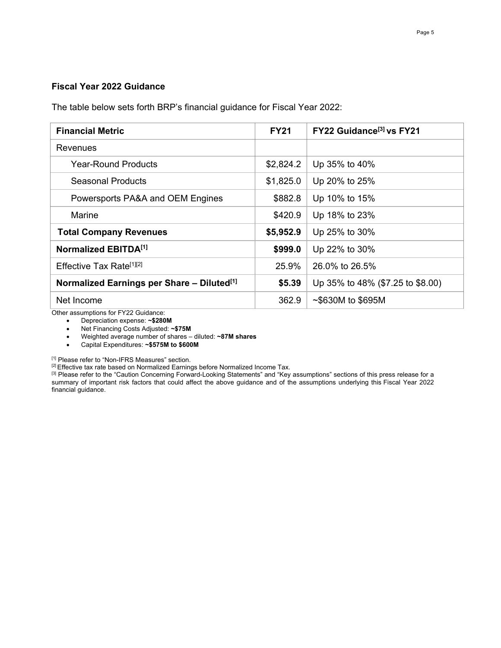# **Fiscal Year 2022 Guidance**

The table below sets forth BRP's financial guidance for Fiscal Year 2022:

| <b>Financial Metric</b>                                | <b>FY21</b>                                | FY22 Guidance <sup>[3]</sup> vs FY21 |  |  |
|--------------------------------------------------------|--------------------------------------------|--------------------------------------|--|--|
| Revenues                                               |                                            |                                      |  |  |
| <b>Year-Round Products</b>                             | \$2,824.2                                  | Up 35% to 40%                        |  |  |
| Seasonal Products                                      | \$1,825.0                                  | Up 20% to 25%                        |  |  |
| Powersports PA&A and OEM Engines                       | \$882.8                                    | Up 10% to 15%                        |  |  |
| Marine                                                 | \$420.9                                    | Up 18% to 23%                        |  |  |
| <b>Total Company Revenues</b>                          | \$5,952.9                                  | Up 25% to 30%                        |  |  |
| Normalized EBITDA <sup>[1]</sup>                       | \$999.0                                    | Up 22% to 30%                        |  |  |
| Effective Tax Rate <sup>[1][2]</sup>                   | 25.9%                                      | 26.0% to 26.5%                       |  |  |
| Normalized Earnings per Share - Diluted <sup>[1]</sup> | Up 35% to 48% (\$7.25 to \$8.00)<br>\$5.39 |                                      |  |  |
| Net Income                                             | 362.9                                      | $~5630M$ to \$695M                   |  |  |

Other assumptions for FY22 Guidance:

• Depreciation expense: **~\$280M**

• Net Financing Costs Adjusted: **~\$75M**

• Weighted average number of shares – diluted: **~87M shares**

• Capital Expenditures: **~\$575M to \$600M** 

[1] Please refer to "Non-IFRS Measures" section.

<sup>[2]</sup> Effective tax rate based on Normalized Earnings before Normalized Income Tax.

[3] Please refer to the "Caution Concerning Forward-Looking Statements" and "Key assumptions" sections of this press release for a summary of important risk factors that could affect the above guidance and of the assumptions underlying this Fiscal Year 2022 financial guidance.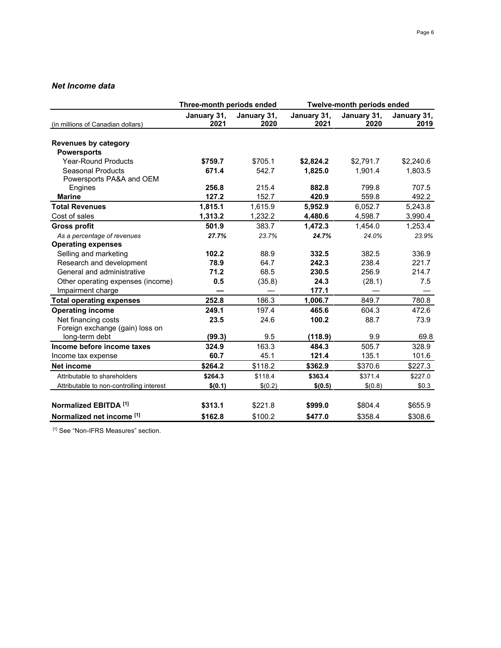# *Net Income data*

|                                          | Three-month periods ended |                     | <b>Twelve-month periods ended</b> |                     |                     |
|------------------------------------------|---------------------------|---------------------|-----------------------------------|---------------------|---------------------|
| (in millions of Canadian dollars)        | January 31,<br>2021       | January 31,<br>2020 | January 31,<br>2021               | January 31,<br>2020 | January 31,<br>2019 |
| <b>Revenues by category</b>              |                           |                     |                                   |                     |                     |
| <b>Powersports</b>                       |                           |                     |                                   |                     |                     |
| <b>Year-Round Products</b>               | \$759.7                   | \$705.1             | \$2,824.2                         | \$2,791.7           | \$2,240.6           |
| <b>Seasonal Products</b>                 | 671.4                     | 542.7               | 1,825.0                           | 1,901.4             | 1,803.5             |
| Powersports PA&A and OEM                 |                           |                     |                                   |                     |                     |
| Engines                                  | 256.8                     | 215.4               | 882.8                             | 799.8               | 707.5               |
| <b>Marine</b>                            | 127.2                     | 152.7               | 420.9                             | 559.8               | 492.2               |
| <b>Total Revenues</b>                    | 1,815.1                   | 1,615.9             | 5,952.9                           | 6,052.7             | 5,243.8             |
| Cost of sales                            | 1,313.2                   | 1,232.2             | 4,480.6                           | 4,598.7             | 3,990.4             |
| <b>Gross profit</b>                      | 501.9                     | 383.7               | 1,472.3                           | 1,454.0             | 1,253.4             |
| As a percentage of revenues              | 27.7%                     | 23.7%               | 24.7%                             | 24.0%               | 23.9%               |
| <b>Operating expenses</b>                |                           |                     |                                   |                     |                     |
| Selling and marketing                    | 102.2                     | 88.9                | 332.5                             | 382.5               | 336.9               |
| Research and development                 | 78.9                      | 64.7                | 242.3                             | 238.4               | 221.7               |
| General and administrative               | 71.2                      | 68.5                | 230.5                             | 256.9               | 214.7               |
| Other operating expenses (income)        | 0.5                       | (35.8)              | 24.3                              | (28.1)              | 7.5                 |
| Impairment charge                        |                           |                     | 177.1                             |                     |                     |
| <b>Total operating expenses</b>          | 252.8                     | 186.3               | 1.006.7                           | 849.7               | 780.8               |
| <b>Operating income</b>                  | 249.1                     | 197.4               | 465.6                             | 604.3               | 472.6               |
| Net financing costs                      | 23.5                      | 24.6                | 100.2                             | 88.7                | 73.9                |
| Foreign exchange (gain) loss on          |                           |                     |                                   |                     |                     |
| long-term debt                           | (99.3)                    | 9.5                 | (118.9)                           | 9.9                 | 69.8                |
| Income before income taxes               | 324.9                     | 163.3               | 484.3                             | 505.7               | 328.9               |
| Income tax expense                       | 60.7                      | 45.1                | 121.4                             | 135.1               | 101.6               |
| Net income                               | \$264.2                   | \$118.2             | \$362.9                           | \$370.6             | \$227.3             |
| Attributable to shareholders             | \$264.3                   | \$118.4             | \$363.4                           | \$371.4             | \$227.0             |
| Attributable to non-controlling interest | \$(0.1)                   | \$(0.2)             | \$(0.5)                           | \$(0.8)             | \$0.3               |
| Normalized EBITDA [1]                    | \$313.1                   | \$221.8             | \$999.0                           | \$804.4             | \$655.9             |
| Normalized net income [1]                | \$162.8                   | \$100.2             | \$477.0                           | \$358.4             | \$308.6             |

[1] See "Non-IFRS Measures" section.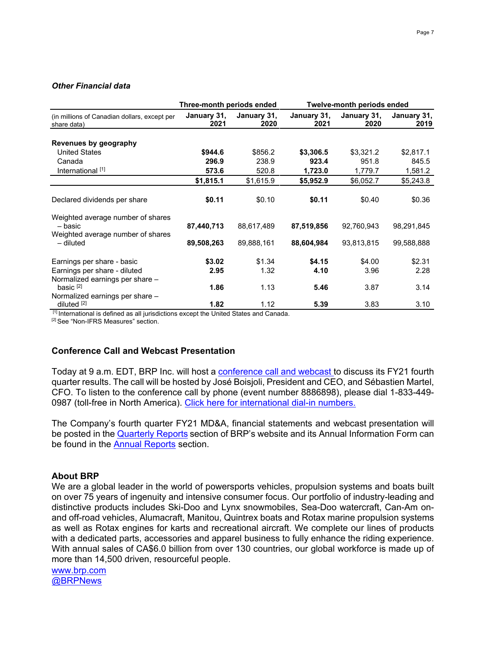## *Other Financial data*

|                                                                                            | Three-month periods ended |                     | Twelve-month periods ended |                     |                     |
|--------------------------------------------------------------------------------------------|---------------------------|---------------------|----------------------------|---------------------|---------------------|
| (in millions of Canadian dollars, except per<br>share data)                                | January 31,<br>2021       | January 31,<br>2020 | January 31,<br>2021        | January 31,<br>2020 | January 31,<br>2019 |
| Revenues by geography                                                                      |                           |                     |                            |                     |                     |
| <b>United States</b>                                                                       | \$944.6                   | \$856.2             | \$3,306.5                  | \$3,321.2           | \$2,817.1           |
| Canada                                                                                     | 296.9                     | 238.9               | 923.4                      | 951.8               | 845.5               |
| International [1]                                                                          | 573.6                     | 520.8               | 1,723.0                    | 1,779.7             | 1,581.2             |
|                                                                                            | \$1,815.1                 | \$1,615.9           | \$5,952.9                  | \$6,052.7           | \$5,243.8           |
| Declared dividends per share                                                               | \$0.11                    | \$0.10              | \$0.11                     | \$0.40              | \$0.36              |
| Weighted average number of shares<br>- basic<br>Weighted average number of shares          | 87,440,713                | 88,617,489          | 87,519,856                 | 92,760,943          | 98,291,845          |
| – diluted                                                                                  | 89,508,263                | 89,888,161          | 88,604,984                 | 93,813,815          | 99,588,888          |
| Earnings per share - basic                                                                 | \$3.02                    | \$1.34              | \$4.15                     | \$4.00              | \$2.31              |
| Earnings per share - diluted                                                               | 2.95                      | 1.32                | 4.10                       | 3.96                | 2.28                |
| Normalized earnings per share -<br>basic <sup>[2]</sup><br>Normalized earnings per share - | 1.86                      | 1.13                | 5.46                       | 3.87                | 3.14                |
| diluted <sup>[2]</sup>                                                                     | 1.82                      | 1.12                | 5.39                       | 3.83                | 3.10                |

 $^{[1]}$ International is defined as all jurisdictions except the United States and Canada.

<sup>[2]</sup> See "Non-IFRS Measures" section.

## **Conference Call and Webcast Presentation**

Today at 9 a.m. EDT, BRP Inc. will host a [conference call and webcast t](https://www.icastpro.ca/pt1v4j)o discuss its FY21 fourth quarter results. The call will be hosted by José Boisjoli, President and CEO, and Sébastien Martel, CFO. To listen to the conference call by phone (event number 8886898), please dial 1-833-449 0987 (toll-free in North America). Click here [for international dial-in numbers.](https://drive.google.com/file/d/1QWdbNIvARgADqinlMGoxnRyUxsWfmBIB/view?usp=sharing)

The Company's fourth quarter FY21 MD&A, financial statements and webcast presentation will be posted in the [Quarterly Reports](http://news.brp.com/financial-information/quarterly-reports) section of BRP's website and its Annual Information Form can be found in the [Annual Reports](http://news.brp.com/financial-information) section.

## **About BRP**

We are a global leader in the world of powersports vehicles, propulsion systems and boats built on over 75 years of ingenuity and intensive consumer focus. Our portfolio of industry-leading and distinctive products includes Ski-Doo and Lynx snowmobiles, Sea-Doo watercraft, Can-Am onand off-road vehicles, Alumacraft, Manitou, Quintrex boats and Rotax marine propulsion systems as well as Rotax engines for karts and recreational aircraft. We complete our lines of products with a dedicated parts, accessories and apparel business to fully enhance the riding experience. With annual sales of CA\$6.0 billion from over 130 countries, our global workforce is made up of more than 14,500 driven, resourceful people.

[www.brp.com](http://www.brp.com/) [@BRPNews](https://twitter.com/BRPnews)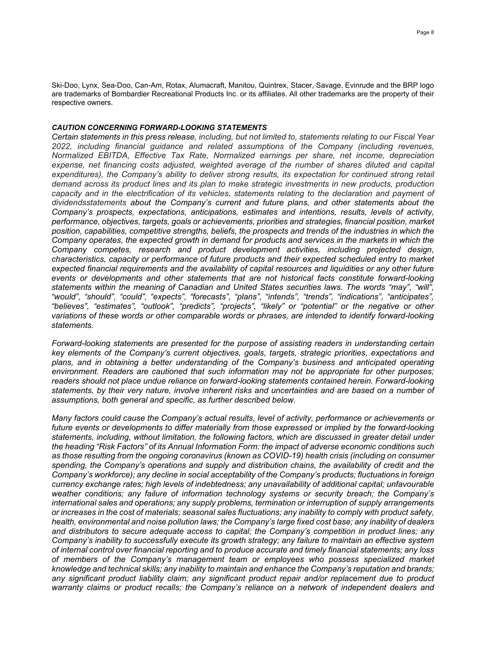Ski-Doo, Lynx, Sea-Doo, Can-Am, Rotax, Alumacraft, Manitou, Quintrex, Stacer, Savage, Evinrude and the BRP logo are trademarks of Bombardier Recreational Products Inc. or its affiliates. All other trademarks are the property of their respective owners.

## *CAUTION CONCERNING FORWARD-LOOKING STATEMENTS*

*Certain statements in this press release, including, but not limited to, statements relating to our Fiscal Year 2022, including financial guidance and related assumptions of the Company (including revenues, Normalized EBITDA, Effective Tax Rate, Normalized earnings per share, net income, depreciation expense, net financing costs adjusted, weighted average of the number of shares diluted and capital expenditures), the Company's ability to deliver strong results, its expectation for continued strong retail demand across its product lines and its plan to make strategic investments in new products, production capacity and in the electrification of its vehicles, statements relating to the declaration and payment of dividendsstatements about the Company's current and future plans, and other statements about the Company's prospects, expectations, anticipations, estimates and intentions, results, levels of activity, performance, objectives, targets, goals or achievements, priorities and strategies, financial position, market position, capabilities, competitive strengths, beliefs, the prospects and trends of the industries in which the Company operates, the expected growth in demand for products and services in the markets in which the Company competes, research and product development activities, including projected design, characteristics, capacity or performance of future products and their expected scheduled entry to market expected financial requirements and the availability of capital resources and liquidities or any other future events or developments and other statements that are not historical facts constitute forward-looking statements within the meaning of Canadian and United States securities laws. The words "may", "will", "would", "should", "could", "expects", "forecasts", "plans", "intends", "trends", "indications", "anticipates", "believes", "estimates", "outlook", "predicts", "projects", "likely" or "potential" or the negative or other variations of these words or other comparable words or phrases, are intended to identify forward-looking statements.*

*Forward-looking statements are presented for the purpose of assisting readers in understanding certain key elements of the Company's current objectives, goals, targets, strategic priorities, expectations and plans, and in obtaining a better understanding of the Company's business and anticipated operating environment. Readers are cautioned that such information may not be appropriate for other purposes; readers should not place undue reliance on forward-looking statements contained herein. Forward-looking statements, by their very nature, involve inherent risks and uncertainties and are based on a number of assumptions, both general and specific, as further described below.*

*Many factors could cause the Company's actual results, level of activity, performance or achievements or future events or developments to differ materially from those expressed or implied by the forward-looking statements, including, without limitation, the following factors, which are discussed in greater detail under the heading "Risk Factors" of its Annual Information Form: the impact of adverse economic conditions such as those resulting from the ongoing coronavirus (known as COVID-19) health crisis (including on consumer spending, the Company's operations and supply and distribution chains, the availability of credit and the Company's workforce); any decline in social acceptability of the Company's products; fluctuations in foreign currency exchange rates; high levels of indebtedness; any unavailability of additional capital; unfavourable weather conditions; any failure of information technology systems or security breach; the Company's international sales and operations; any supply problems, termination or interruption of supply arrangements* or increases in the cost of materials; seasonal sales fluctuations; any inability to comply with product safety, *health, environmental and noise pollution laws; the Company's large fixed cost base; any inability of dealers and distributors to secure adequate access to capital; the Company's competition in product lines; any Company's inability to successfully execute its growth strategy; any failure to maintain an effective system of internal control over financial reporting and to produce accurate and timely financial statements; any loss of members of the Company's management team or employees who possess specialized market knowledge and technical skills; any inability to maintain and enhance the Company's reputation and brands; any significant product liability claim; any significant product repair and/or replacement due to product warranty claims or product recalls; the Company's reliance on a network of independent dealers and*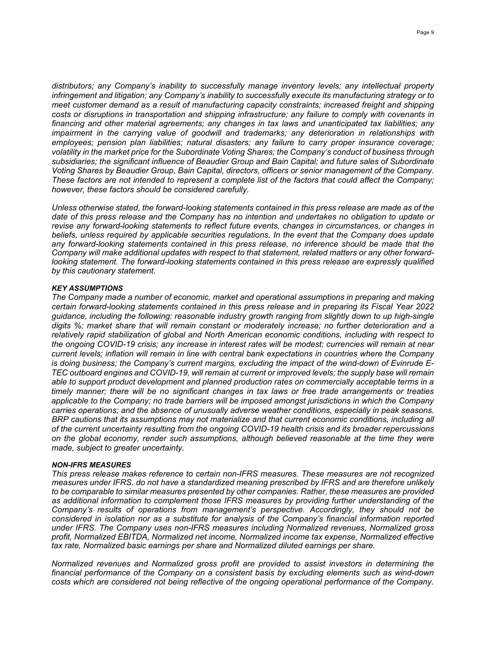*distributors; any Company's inability to successfully manage inventory levels; any intellectual property infringement and litigation; any Company's inability to successfully execute its manufacturing strategy or to meet customer demand as a result of manufacturing capacity constraints; increased freight and shipping costs or disruptions in transportation and shipping infrastructure; any failure to comply with covenants in financing and other material agreements; any changes in tax laws and unanticipated tax liabilities; any impairment in the carrying value of goodwill and trademarks; any deterioration in relationships with employees; pension plan liabilities; natural disasters; any failure to carry proper insurance coverage; volatility in the market price for the Subordinate Voting Shares; the Company's conduct of business through subsidiaries; the significant influence of Beaudier Group and Bain Capital; and future sales of Subordinate Voting Shares by Beaudier Group, Bain Capital, directors, officers or senior management of the Company.* These factors are not intended to represent a complete list of the factors that could affect the Company; *however, these factors should be considered carefully.*

*Unless otherwise stated, the forward-looking statements contained in this press release are made as of the* date of this press release and the Company has no intention and undertakes no obligation to update or *revise any forward-looking statements to reflect future events, changes in circumstances, or changes in beliefs, unless required by applicable securities regulations. In the event that the Company does update any forward-looking statements contained in this press release, no inference should be made that the Company will make additional updates with respect to that statement, related matters or any other forwardlooking statement. The forward-looking statements contained in this press release are expressly qualified by this cautionary statement.*

## *KEY ASSUMPTIONS*

*The Company made a number of economic, market and operational assumptions in preparing and making certain forward-looking statements contained in this press release and in preparing its Fiscal Year 2022 guidance, including the following: reasonable industry growth ranging from slightly down to up high-single digits %; market share that will remain constant or moderately increase; no further deterioration and a relatively rapid stabilization of global and North American economic conditions, including with respect to* the ongoing COVID-19 crisis; any increase in interest rates will be modest; currencies will remain at near *current levels; inflation will remain in line with central bank expectations in countries where the Company is doing business; the Company's current margins, excluding the impact of the wind-down of Evinrude E-TEC outboard engines and COVID-19, will remain at current or improved levels; the supply base will remain able to support product development and planned production rates on commercially acceptable terms in a timely manner; there will be no significant changes in tax laws or free trade arrangements or treaties applicable to the Company; no trade barriers will be imposed amongst jurisdictions in which the Company carries operations; and the absence of unusually adverse weather conditions, especially in peak seasons. BRP cautions that its assumptions may not materialize and that current economic conditions, including all of the current uncertainty resulting from the ongoing COVID-19 health crisis and its broader repercussions on the global economy, render such assumptions, although believed reasonable at the time they were made, subject to greater uncertainty.*

#### *NON-IFRS MEASURES*

*This press release makes reference to certain non-IFRS measures. These measures are not recognized measures under IFRS, do not have a standardized meaning prescribed by IFRS and are therefore unlikely to be comparable to similar measures presented by other companies. Rather, these measures are provided as additional information to complement those IFRS measures by providing further understanding of the Company's results of operations from management's perspective. Accordingly, they should not be considered in isolation nor as a substitute for analysis of the Company's financial information reported under IFRS. The Company uses non-IFRS measures including Normalized revenues, Normalized gross profit, Normalized EBITDA, Normalized net income, Normalized income tax expense, Normalized effective tax rate, Normalized basic earnings per share and Normalized diluted earnings per share.*

*Normalized revenues and Normalized gross profit are provided to assist investors in determining the financial performance of the Company on a consistent basis by excluding elements such as wind-down costs which are considered not being reflective of the ongoing operational performance of the Company.*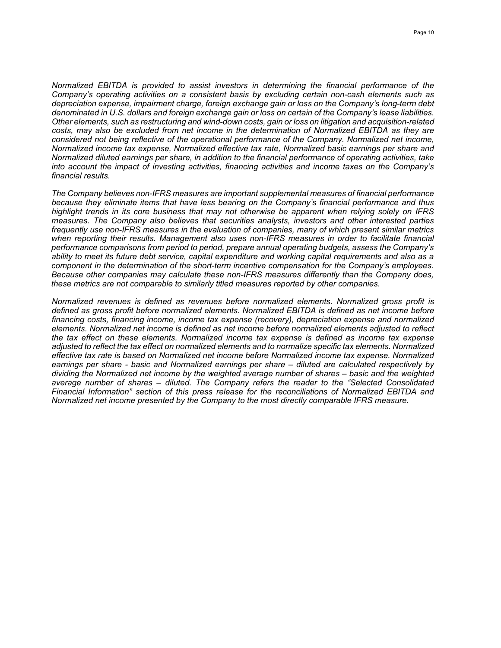*Normalized EBITDA is provided to assist investors in determining the financial performance of the Company's operating activities on a consistent basis by excluding certain non-cash elements such as depreciation expense, impairment charge, foreign exchange gain or loss on the Company's long-term debt* denominated in U.S. dollars and foreign exchange gain or loss on certain of the Company's lease liabilities. *Other elements, such as restructuring and wind-down costs, gain or loss on litigation and acquisition-related costs, may also be excluded from net income in the determination of Normalized EBITDA as they are considered not being reflective of the operational performance of the Company. Normalized net income, Normalized income tax expense, Normalized effective tax rate, Normalized basic earnings per share and Normalized diluted earnings per share, in addition to the financial performance of operating activities, take into account the impact of investing activities, financing activities and income taxes on the Company's financial results.*

*The Company believes non-IFRS measures are important supplemental measures of financial performance because they eliminate items that have less bearing on the Company's financial performance and thus highlight trends in its core business that may not otherwise be apparent when relying solely on IFRS measures. The Company also believes that securities analysts, investors and other interested parties frequently use non-IFRS measures in the evaluation of companies, many of which present similar metrics when reporting their results. Management also uses non-IFRS measures in order to facilitate financial performance comparisons from period to period, prepare annual operating budgets, assess the Company's* ability to meet its future debt service, capital expenditure and working capital requirements and also as a *component in the determination of the short-term incentive compensation for the Company's employees. Because other companies may calculate these non-IFRS measures differently than the Company does, these metrics are not comparable to similarly titled measures reported by other companies.*

*Normalized revenues is defined as revenues before normalized elements. Normalized gross profit is defined as gross profit before normalized elements. Normalized EBITDA is defined as net income before financing costs, financing income, income tax expense (recovery), depreciation expense and normalized elements. Normalized net income is defined as net income before normalized elements adjusted to reflect the tax effect on these elements. Normalized income tax expense is defined as income tax expense adjusted to reflect the tax effect on normalized elements and to normalize specific tax elements. Normalized effective tax rate is based on Normalized net income before Normalized income tax expense. Normalized earnings per share - basic and Normalized earnings per share – diluted are calculated respectively by dividing the Normalized net income by the weighted average number of shares – basic and the weighted average number of shares – diluted. The Company refers the reader to the "Selected Consolidated Financial Information" section of this press release for the reconciliations of Normalized EBITDA and Normalized net income presented by the Company to the most directly comparable IFRS measure.*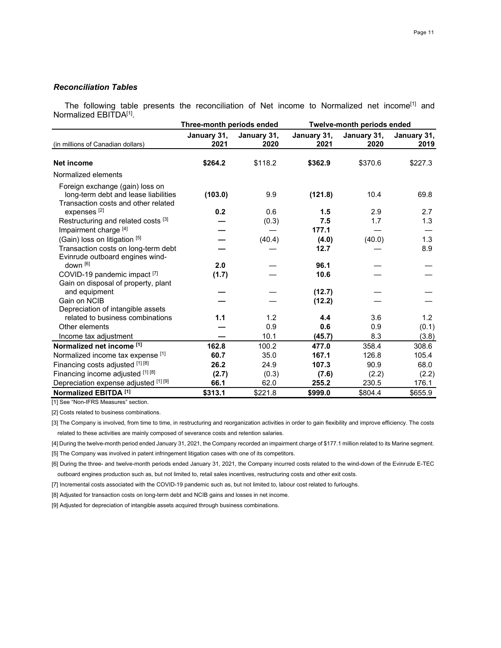## *Reconciliation Tables*

The following table presents the reconciliation of Net income to Normalized net income<sup>[1]</sup> and Normalized EBITDA[1].

| (in millions of Canadian dollars)                                                                              | Three-month periods ended |                     | <b>Twelve-month periods ended</b> |                     |                     |
|----------------------------------------------------------------------------------------------------------------|---------------------------|---------------------|-----------------------------------|---------------------|---------------------|
|                                                                                                                | January 31,<br>2021       | January 31,<br>2020 | January 31,<br>2021               | January 31,<br>2020 | January 31,<br>2019 |
| <b>Net income</b>                                                                                              | \$264.2                   | \$118.2             | \$362.9                           | \$370.6             | \$227.3             |
| Normalized elements                                                                                            |                           |                     |                                   |                     |                     |
| Foreign exchange (gain) loss on<br>long-term debt and lease liabilities<br>Transaction costs and other related | (103.0)                   | 9.9                 | (121.8)                           | 10.4                | 69.8                |
| expenses <sup>[2]</sup>                                                                                        | 0.2                       | 0.6                 | 1.5                               | 2.9                 | 2.7                 |
| Restructuring and related costs [3]                                                                            |                           | (0.3)               | 7.5                               | 1.7                 | 1.3                 |
| Impairment charge [4]                                                                                          |                           |                     | 177.1                             |                     |                     |
| (Gain) loss on litigation [5]                                                                                  |                           | (40.4)              | (4.0)                             | (40.0)              | 1.3                 |
| Transaction costs on long-term debt<br>Evinrude outboard engines wind-                                         |                           |                     | 12.7                              |                     | 8.9                 |
| down <sup>[6]</sup>                                                                                            | 2.0                       |                     | 96.1                              |                     |                     |
| COVID-19 pandemic impact [7]                                                                                   | (1.7)                     |                     | 10.6                              |                     |                     |
| Gain on disposal of property, plant                                                                            |                           |                     |                                   |                     |                     |
| and equipment                                                                                                  |                           |                     | (12.7)                            |                     |                     |
| Gain on NCIB                                                                                                   |                           |                     | (12.2)                            |                     |                     |
| Depreciation of intangible assets                                                                              |                           |                     |                                   |                     |                     |
| related to business combinations                                                                               | 1.1                       | 1.2                 | 4.4                               | 3.6                 | 1.2                 |
| Other elements                                                                                                 |                           | 0.9                 | 0.6                               | 0.9                 | (0.1)               |
| Income tax adjustment                                                                                          |                           | 10.1                | (45.7)                            | 8.3                 | (3.8)               |
| Normalized net income [1]                                                                                      | 162.8                     | 100.2               | 477.0                             | 358.4               | 308.6               |
| Normalized income tax expense [1]                                                                              | 60.7                      | 35.0                | 167.1                             | 126.8               | 105.4               |
| Financing costs adjusted [1] [8]                                                                               | 26.2                      | 24.9                | 107.3                             | 90.9                | 68.0                |
| Financing income adjusted [1] [8]                                                                              | (2.7)                     | (0.3)               | (7.6)                             | (2.2)               | (2.2)               |
| Depreciation expense adjusted [1] [9]                                                                          | 66.1                      | 62.0                | 255.2                             | 230.5               | 176.1               |
| Normalized EBITDA <sup>[1]</sup>                                                                               | \$313.1                   | \$221.8             | \$999.0                           | \$804.4             | \$655.9             |

[1] See "Non-IFRS Measures" section.

[2] Costs related to business combinations.

[3] The Company is involved, from time to time, in restructuring and reorganization activities in order to gain flexibility and improve efficiency. The costs related to these activities are mainly composed of severance costs and retention salaries.

[4] During the twelve-month period ended January 31, 2021, the Company recorded an impairment charge of \$177.1 million related to its Marine segment.

[5] The Company was involved in patent infringement litigation cases with one of its competitors.

[6] During the three- and twelve-month periods ended January 31, 2021, the Company incurred costs related to the wind-down of the Evinrude E-TEC outboard engines production such as, but not limited to, retail sales incentives, restructuring costs and other exit costs.

[7] Incremental costs associated with the COVID-19 pandemic such as, but not limited to, labour cost related to furloughs.

[8] Adjusted for transaction costs on long-term debt and NCIB gains and losses in net income.

[9] Adjusted for depreciation of intangible assets acquired through business combinations.